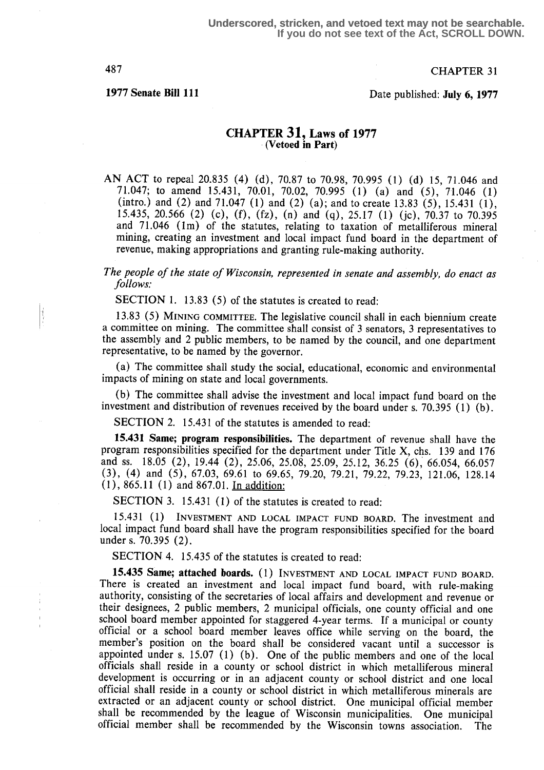h,

487 CHAPTER 31

1977 Senate Bill 111 Date published: July 6, 1977

### CHAPTER 31, Laws of 1977 (Vetoed in Part)

AN ACT to repeal 20.835 (4) (d), 70.87 to 70.98, 70.995 (1) (d) 15, 71.046 and 71.047; to amend 15.431, 70.01, 70.02, 70.995 (1) (a) and (5), 71 .046 (1) (intro.) and (2) and 71.047 (1) and (2) (a); and to create 13.83 (5), 15.431 (1), 15 .435, 20.566 (2) (c), (f), (fz), (n) and (q), 25.17 (1) (jc), 70.37 to 70.395 and 71 .046 (1m) of the statutes, relating to taxation of metalliferous mineral mining, creating an investment and local impact fund board in the department of revenue, making appropriations and granting rule-making authority.

The people of the state of Wisconsin, represented in senate and assembly, do enact as follows:

SECTION 1. 13.83 (5) of the statutes is created to read:

13.83 (5) MINING COMMITTEE. The legislative council shall in each biennium create a committee on mining. The committee shall consist of 3 senators, 3 representatives to the assembly and 2 public members, to be named by the council, and one department representative, to be named by the governor.

(a) The committee shall study the social, educational, economic and environmental impacts of mining on state and local governments.

(b) The committee shall advise the investment and local impact fund board on the investment and distribution of revenues received by the board under s. 70.395 (1) (b) .

SECTION 2. 15.431 of the statutes is amended to read:

15.431 Same; program responsibilities . The department of revenue shall have the program responsibilities specified for the department under Title  $X$ , chs. 139 and 176 and ss.  $18.05$  (2),  $19.44$  (2),  $25.06$ ,  $25.08$ ,  $25.09$ ,  $25.12$ ,  $36.25$  (6), 66.054, 66.057 (3), (4) and (5), 67.03, 69.61 to 69.65, 79.20, 79.21, 79.22, 79.23, 121 .06, 128.14 (1), 865.11 (1) and 867.01. In addition:

SECTION 3. 15.431 (1) of the statutes is created to read:

15.431 (1) INVESTMENT AND LOCAL IMPACT FUND BOARD. The investment and local impact fund board shall have the program responsibilities specified for the board under s. 70.395 (2).

SECTION 4. 15.435 of the statutes is created to read:

15.435 Same; attached boards. (1) INVESTMENT AND LOCAL IMPACT FUND BOARD. There is created an investment and local impact fund board, with rule-making authority, consisting of the secretaries of local affairs and development and revenue or their designees, 2 public members, 2 municipal officials, one county official and one school board member appointed for staggered 4-year terms. If a municipal or county official or a school board member leaves office while serving on the board, the member's position on the board shall be considered vacant until a successor is appointed under s. 15.07 (1) (b). One of the public members and one of the local officials shall reside in a county or school district in which metalliferous mineral development is occurring or in an adjacent county or school district and one local official shall reside in a county or school district in which metalliferous minerals are extracted or an adjacent county or school district. One municipal official member shall be recommended by the league of Wisconsin municipalities. One municipal official member shall be recommended by the Wisconsin towns association. The official member shall be recommended by the Wisconsin towns association.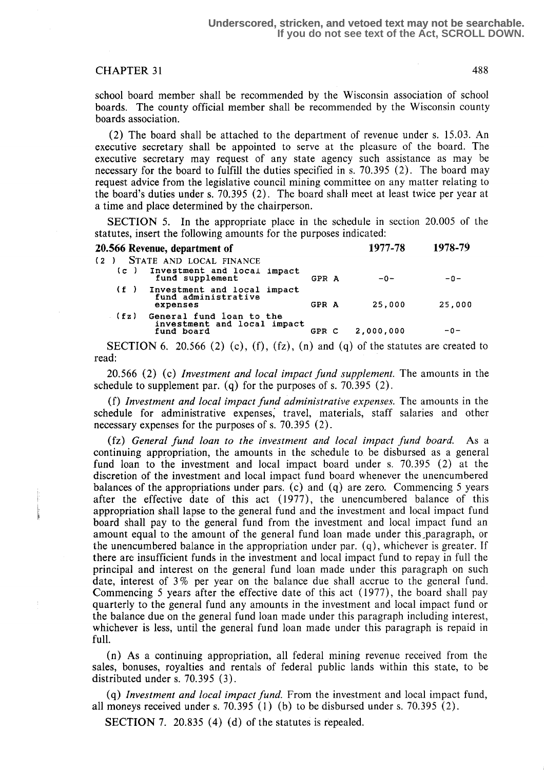school board member shall be recommended by the Wisconsin association of school boards. The county official member shall be recommended by the Wisconsin county boards association .

(2) The board shall be attached to the department of revenue under s . 15 .03 . An executive secretary shall be appointed to serve at the pleasure of the board. The executive secretary may request of any state agency such assistance as may be necessary for the board to fulfill the duties specified in s. 70.395 (2) . The board may request advice from the legislative council mining committee on any matter relating to the board's duties under s. 70.395 (2) . The board shall meet at least twice per year at a time and place determined by the chairperson.

SECTION 5. In the appropriate place in the schedule in section 20.005 of the statutes, insert the following amounts for the purposes indicated:

|     |      | 20.566 Revenue, department of                                             |       | 1977-78   | 1978-79 |
|-----|------|---------------------------------------------------------------------------|-------|-----------|---------|
| (2) | (c)  | STATE AND LOCAL FINANCE<br>Investment and local impact<br>fund supplement | GPR A | $-0-$     | $-0-$   |
|     | (f)  | Investment and local impact<br>fund administrative<br>expenses            | GPR A | 25,000    | 25,000  |
|     | (fz) | General fund loan to the<br>investment and local impact<br>fund board     | GPR C | 2,000,000 | $-0-$   |

SECTION 6. 20.566 (2) (c), (f), (fz), (n) and (q) of the statutes are created to read:

 $20.566$  (2) (c) Investment and local impact fund supplement. The amounts in the schedule to supplement par. (q) for the purposes of s. 70.395  $(2)$ .

(f) Investment and local impact fund administrative expenses. The amounts in the schedule for administrative expenses, travel, materials, staff salaries and other necessary expenses for the purposes of s. 70.395 (2) .

(fz) General fund loan to the investment and local impact fund board. As a continuing appropriation, the amounts in the schedule to be disbursed as a general fund loan to the investment and local impact board under s. 70.395 (2) at the discretion of the investment and local impact fund board whenever the unencumbered balances of the appropriations under pars. (c) and  $(q)$  are zero. Commencing 5 years after the effective date of this act (1977), the unencumbered balance of this appropriation shall lapse to the general fund and the investment and local impact fund board shall pay to the general fund from the investment and local impact fund an amount equal to the amount of the general fund loan made under this paragraph, or the unencumbered balance in the appropriation under par. (q), whichever is greater. If there are insufficient funds in the investment and local impact fund to repay in full the principal and interest on the general fund loan made under this paragraph on such date, interest of 3 % per year on the balance due shall accrue to the general fund. Commencing 5 years after the effective date of this act (1977), the board shall pay quarterly to the general fund any amounts in the investment and local impact fund or the balance due on the general fund loan made under this paragraph including interest, whichever is less, until the general fund loan made under this paragraph is repaid in full.

(n) As a continuing appropriation, all federal mining revenue received from the sales, bonuses, royalties and rentals of federal public lands within this state, to be distributed under s. 70.395 (3) .

(q) Investment and local impact fund. From the investment and local impact fund, all moneys received under s.  $70.395$  (1) (b) to be disbursed under s.  $70.395$  (2).

SECTION 7. 20.835 (4) (d) of the statutes is repealed.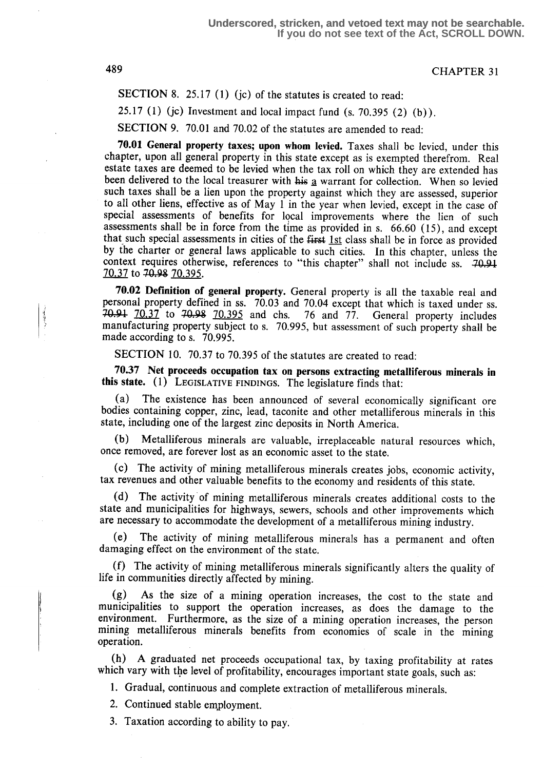SECTION 8. 25.17 (1) (jc) of the statutes is created to read:

25.17 (1) (jc) Investment and local impact fund  $(s. 70.395 (2) (b))$ .

SECTION 9. 70.01 and 70.02 of the statutes are amended to read:

70.01 General property taxes; upon whom levied. Taxes shall be levied, under this chapter, upon all general property in this state except as is exempted therefrom. Real estate taxes are deemed to be levied when the tax roll on which they are extended has been delivered to the local treasurer with  $\frac{1}{2}$  warrant for collection. When so levied such taxes shall be a lien upon the property against which they are assessed, superior to all other liens, effective as of May 1 in the year when levied, except in the case of special assessments of benefits for local improvements where the lien of such assessments shall be in force from the time as provided in s. 66.60 (15), and except that such special assessments in cities of the  $f$ irst  $1st$  class shall be in force as provided by the charter or general laws applicable to such cities. In this chapter, unless the context requires otherwise, references to "this chapter" shall not include ss. 70.91 70.37 to 70.98 70.395.

70.02 Definition of general property. General property is all the taxable real and personal property defined in ss. 70.03 and 70.04 except that which is taxed under ss. 70.91 70.37 to 70.98 70.395 and chs. 76 and 77. General property includes manufacturing property subject to s. 70.995, but assessment of such property shall be made according to s. 70.995.

SECTION 10. 70.37 to 70.395 of the statutes are created to read:

70.37 Net proceeds occupation tax on persons extracting metalliferous minerals in this state. (1) LEGISLATIVE FINDINGS. The legislature finds that:

(a) The existence has been announced of several economically significant ore bodies containing copper, zinc, lead, taconite and other metalliferous minerals in this state, including one of the largest zinc deposits in North America .

(b) Metalliferous minerals are valuable, irreplaceable natural resources which, once removed, are forever lost as an economic asset to the state.

(c) The activity of mining metalliferous minerals creates jobs, economic activity, tax revenues and other valuable benefits to the economy and residents of this state.

(d) The activity of mining metalliferous minerals creates additional costs to the state and municipalities for highways, sewers, schools and other improvements which are necessary to accommodate the development of a metalliferous mining industry.

(e) The activity of mining metalliferous minerals has a permanent and often damaging effect on the environment of the state.

(f) The activity of mining metalliferous minerals significantly alters the quality of life in communities directly affected by mining.

(g) As the size of a mining operation increases, the cost to the state and municipalities to support the operation increases, as does the damage to the environment. Furthermore, as the size of a mining operation increases, the person mining metalliferous minerals benefits from economies of scale in the mining operation.

(h) A graduated net proceeds occupational tax, by taxing profitability at rates which vary with the level of profitability, encourages important state goals, such as:

1. Gradual, continuous and complete extraction of metalliferous minerals.

2. Continued stable employment.

3. Taxation according to ability to pay.

الجهاب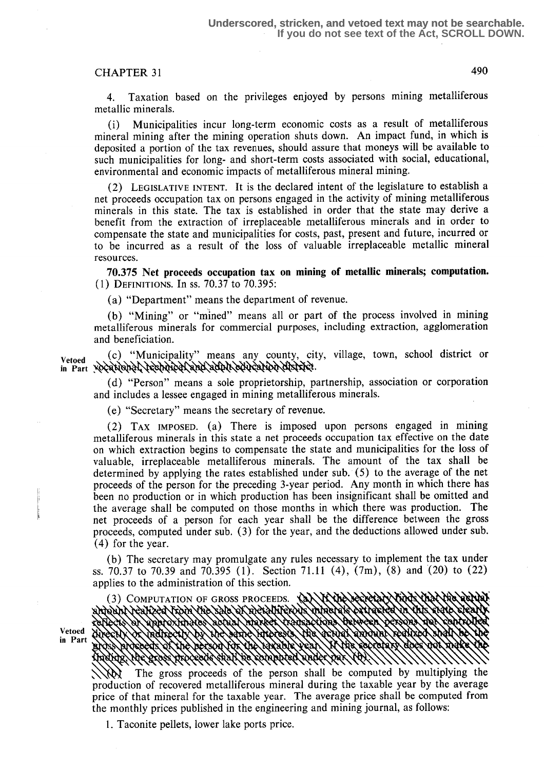4. Taxation based on the privileges enjoyed by persons mining metalliferous metallic minerals.

(i) Municipalities incur long-term economic costs as a result of metalliferous mineral mining after the mining operation shuts down. An impact fund, in which is deposited a portion of the tax revenues, should assure that moneys will be available to such municipalities for long- and short-term costs associated with social, educational, environmental and economic impacts of metalliferous mineral mining.

(2) LEGISLATIVE INTENT. It is the declared intent of the legislature to establish a net proceeds occupation tax on persons engaged in the activity of mining metalliferous minerals in this state. The tax is established in order that the state may derive a benefit from the extraction of irreplaceable metalliferous minerals and in order to compensate the state and municipalities for costs, past, present and future, incurred or to be incurred as a result of the loss of valuable irreplaceable metallic mineral resources.

70.375 Net proceeds occupation tax on mining of metallic minerals; computation. ( 1) DEFINITIONS. In SS. 70.37 t0 70.395:

(a) "Department" means the department of revenue.

(b) "Mining" or "mined" means all or part of the process involved in mining metalliferous minerals for commercial purposes, including extraction, agglomeration and beneficiation.

Vetoed (c) "Municipality" means any county, city, village, town, school district or in Part yocational recharged and adult education district.

(d) "Person" means a sole proprietorship, partnership, association or corporation and includes a lessee engaged in mining metalliferous minerals.

(e) "Secretary" means the secretary of revenue.

(2) TAX IMPOSED. (a) There is imposed upon persons engaged in mining metalliferous minerals in this state a net proceeds occupation tax effective on the date on which extraction begins to compensate the state and municipalities for the loss of valuable, irreplaceable metalliferous minerals. The amount of the tax shall be determined by applying the rates established under sub. (5) to the average of the net proceeds of the person for the preceding 3-year period. Any month in which there has been no production or in which production has been insignificant shall be omitted and the average shall be computed on those months in which there was production. The net proceeds of a person for each year shall be the difference between the gross proceeds, computed under sub. (3) for the year, and the deductions allowed under sub. (4) for the year.

(b) The secretary may promulgate any rules necessary to implement the tax under ss. 70.37 to 70.39 and 70.395 (1). Section 71.11 (4),  $(7m)$ , (8) and (20) to (22) applies to the administration of this section .

(3) COMPUTATION OF GROSS PROCEEDS. andounNeanzed From the sale of metalliferous Vetoed in Part

The gross proceeds of the person shall be computed by multiplying the production of recovered metalliferous mineral during the taxable year by the average price of that mineral for the taxable year. The average price shall be computed from the monthly prices published in the engineering and mining journal, as follows :

<sup>1</sup> . Taconite pellets, lower lake ports price.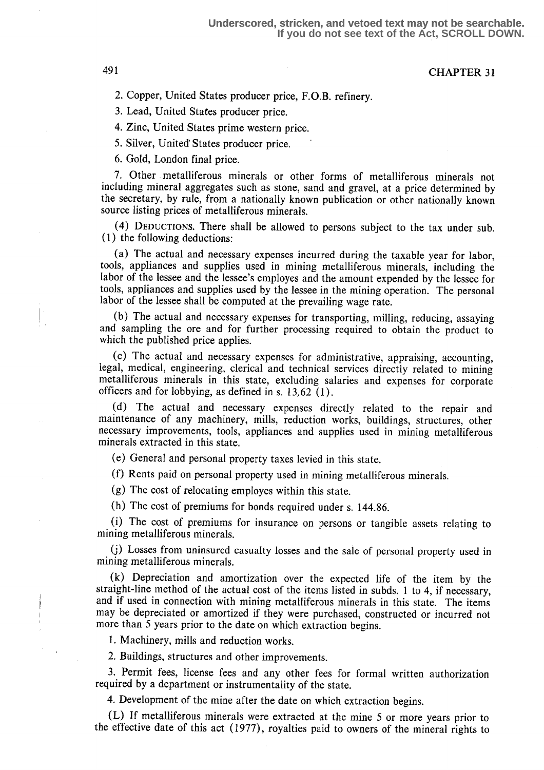2. Copper, United States producer price, F.O.B . refinery .

3. Lead, United States producer price.

4. Zinc, United States prime western price.

5. Silver, United' States producer price.

6. Gold, London final price.

7. Other metalliferous minerals or other forms of metalliferous minerals not including mineral aggregates such as stone, sand and gravel, at a price determined by the secretary, by rule, from a nationally known publication or other nationally known source listing prices of metalliferous minerals.

(4) DEDUCTIONS. There shall be allowed to persons subject to the tax under sub . (1) the following deductions:

(a) The actual and necessary expenses incurred during the taxable year for labor, tools, appliances and supplies used in mining metalliferous minerals, including the labor of the lessee and the lessee's employes and the amount expended by the lessee for tools, appliances and supplies used by the lessee in the mining operation. The personal labor of the lessee shall be computed at the prevailing wage rate.

(b) The actual and necessary expenses for transporting, milling, reducing, assaying and sampling the ore and for further processing required to obtain the product to which the published price applies.

(c) The actual and necessary expenses for administrative, appraising, accounting, legal, medical, engineering, clerical and technical services directly related to mining metalliferous minerals in this state, excluding salaries and expenses for corporate officers and for lobbying, as defined in s.  $13.62$  (1).

(d) The actual and necessary expenses directly related to the repair and maintenance of any machinery, mills, reduction works, buildings, structures, other necessary improvements, tools, appliances and supplies used in mining metalliferous minerals extracted in this state.

(e) General and personal property taxes levied in this state.

(f) Rents paid on personal property used in mining metalliferous minerals.

(g) The cost of relocating employes within this state.

(h) The cost of premiums for bonds required under s. 144.86.

(i) The cost of premiums for insurance on persons or tangible assets relating to mining metalliferous minerals.

(j) Losses from uninsured casualty losses and the sale of personal property used in mining metalliferous minerals.

(k) Depreciation and amortization over the expected life of the item by the straight-line method of the actual cost of the items listed in subds. 1 to 4, if necessary, and if used in connection with mining metalliferous minerals in this state. The items may be depreciated or amortized if they were purchased, constructed or incurred not more than 5 years prior to the date on which extraction begins.

1. Machinery, mills and reduction works.

2. Buildings, structures and other improvements.

<sup>3</sup> . Permit fees, license fees and any other fees for formal written authorization required by a department or instrumentality of the state.

4. Development of the mine after the date on which extraction begins.

(L) If metalliferous minerals were extracted at the mine 5 or more years prior to the effective date of this act (1977), royalties paid to owners of the mineral rights to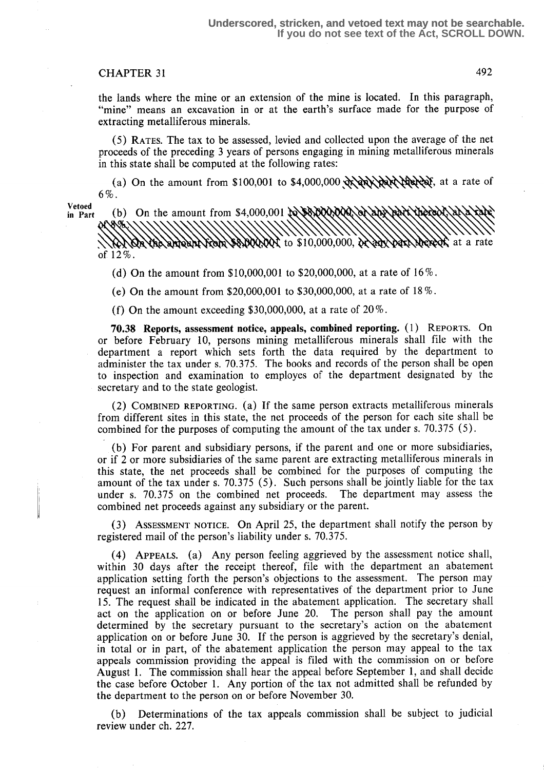the lands where the mine or an extension of the mine is located. In this paragraph, "mine" means an excavation in or at the earth's surface made for the purpose of extracting metalliferous minerals.

(5) RATES. The tax to be assessed, levied and collected upon the average of the net proceeds of the preceding 3 years of persons engaging in mining metalliferous minerals in this state shall be computed at the following rates:

(a) On the amount from \$100,001 to \$4,000,000  $\alpha$   $\alpha$ ,  $\alpha$  $\alpha$ 6% .

Vetoed<br>in Part

(b) On the amount from \$4,000,001 to \$8,000,000 of the text thereof the  $\frac{1}{2}$   $\frac{1}{2}$  to \$10,000,000,  $\frac{1}{2}$   $\frac{1}{2}$ **KYYQN** of 12% .

(d) On the amount from  $$10,000,001$  to  $$20,000,000$ , at a rate of  $16\%$ .

(e) On the amount from \$20,000,001 to \$30,000,000, at a rate of 18% .

(f) On the amount exceeding \$30,000,000, at a rate of  $20\%$ .

70.38 Reports, assessment notice, appeals, combined reporting. (1) REPORTS. On or before February 10, persons mining metalliferous minerals shall file with the department a report which sets forth the data required by the department to administer the tax under s. 70.375. The books and records of the person shall be open to inspection and examination to employes of the department designated by the secretary and to the state geologist.

(2) COMBINED REPORTING. (a) If the same person extracts metalliferous minerals from different sites in this state, the net proceeds of the person for each site shall be combined for the purposes of computing the amount of the tax under s. 70.375 (5) .

(b) For parent and subsidiary persons, if the parent and one or more subsidiaries, or if 2 or more subsidiaries of the same parent are extracting metalliferous minerals in this state, the net proceeds shall be combined for the purposes of computing the amount of the tax under s. 70.375 (5). Such persons shall be jointly liable for the tax under s. 70.375 on the combined net proceeds. The department may assess the under s.  $70.375$  on the combined net proceeds. combined net proceeds against any subsidiary or the parent.

(3) ASSESSMENT NOTICE. On April 25, the department shall notify the person by registered mail of the person's liability under s. 70.375.

(4) APPEALS. (a) Any person feeling aggrieved by the assessment notice shall, within 30 days after the receipt thereof, file with the department an abatement application setting forth the person's objections to the assessment. The person may request an informal conference with representatives of the department prior to June 15. The request shall be indicated in the abatement application. The secretary shall act on the application on or before June 20. The person shall pay the amount determined by the secretary pursuant to the secretary's action on the abatement application on or before June 30. If the person is aggrieved by the secretary's denial, in total or in part, of the abatement application the person may appeal to the tax appeals commission providing the appeal is filed with the commission on or before August 1. The commission shall hear the appeal before September 1, and shall decide the case before October 1. Any portion of the tax not admitted shall be refunded by the department to the person on or before November 30.

(b) Determinations of the tax appeals commission shall be subject to judicial review under ch. 227.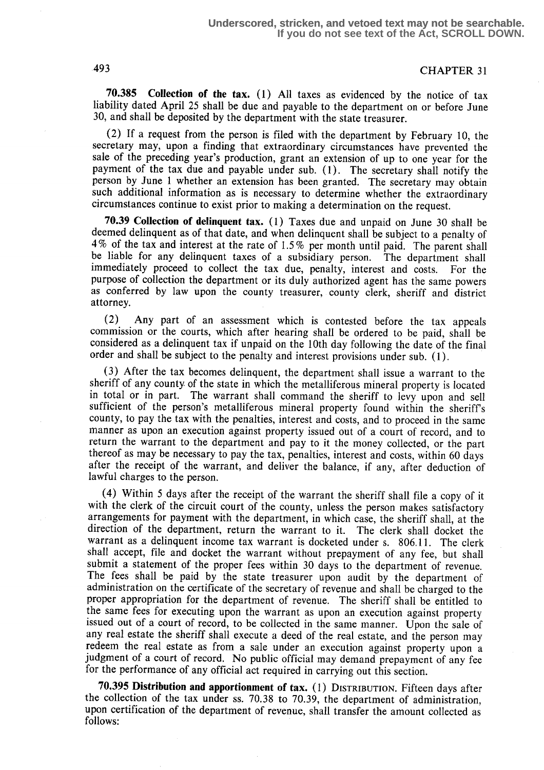**70.385** Collection of the tax.  $(1)$  All taxes as evidenced by the notice of tax liability dated April 25 shall be due and payable to the department on or before June 30, and shall be deposited by the department with the state treasurer.

(2) If a request from the person is filed with the department by February 10, the secretary may, upon a finding that extraordinary circumstances have prevented the sale of the preceding year's production, grant an extension of up to one year for the payment of the tax due and payable under sub. (1). The secretary shall notify the person by June 1 whether an extension has been granted. The secretary may obtain such additional information as is necessary to determine whether the extraordinary circumstances continue to exist prior to making a determination on the request.

70.39 Collection of delinquent tax. (1) Taxes due and unpaid on June 30 shall be deemed delinquent as of that date, and when delinquent shall be subject to a penalty of  $4\%$  of the tax and interest at the rate of 1.5% per month until paid. The parent shall be liable for any delinquent taxes of a subsidiary person. The department shall be liable for any delinquent taxes of a subsidiary person. The department shall immediately proceed to collect the tax due, penalty, interest and costs. For the immediately proceed to collect the tax due, penalty, interest and costs. purpose of collection the department or its duly authorized agent has the same powers as conferred by law upon the county treasurer, county clerk, sheriff and district attorney.

(2) Any part of an assessment which is contested before the tax appeals commission or the courts, which after hearing shall be ordered to be paid, shall be considered as a delinquent tax if unpaid on the 10th day following the date of the final order and shall be subject to the penalty and interest provisions under sub. (1) .

(3) After the tax becomes delinquent, the department shall issue a warrant to the sheriff of any county of the state in which the metalliferous mineral property is located in total or in part. The warrant shall command the sheriff to levy upon and sell sufficient of the person's metalliferous mineral property found within the sheriff's county, to pay the tax with the penalties, interest and costs, and to proceed in the same manner as upon an execution against property issued out of a court of record, and to return the warrant to the department and pay to it the money collected, or the part thereof as may be necessary to pay the tax, penalties, interest and costs, within 60 days after the receipt of the warrant, and deliver the balance, if any, after deduction of lawful charges to the person.

(4) Within 5 days after the receipt of the warrant the sheriff shall file a copy of it with the clerk of the circuit court of the county, unless the person makes satisfactory arrangements for payment with the department, in which case, the sheriff shall, at the direction of the department, return the warrant to it . The clerk shall docket the warrant as a delinquent income tax warrant is docketed under s. 806.11. The clerk shall accept, file and docket the warrant without prepayment of any fee, but shall submit a statement of the proper fees within 30 days to the department of revenue. The fees shall be paid by the state treasurer upon audit by the department of administration on the certificate of the secretary of revenue and shall be charged to the proper appropriation for the department of revenue. The sheriff shall be entitled to the same fees for executing upon the warrant as upon an execution against property issued out of a court of record, to be collected in the same manner. Upon the sale of any real estate the sheriff shall execute a deed of the real estate, and the person may redeem the real estate as from a sale under an execution against property upon a judgment of a court of record. No public official may demand prepayment of any fee for the performance of any official act required in carrying out this section.

70.395 Distribution and apportionment of tax. (1) DISTRIBUTION. Fifteen days after the collection of the tax under ss. 70.38 to 70.39, the department of administration, upon certification of the department of revenue, shall transfer the amount collected as follows: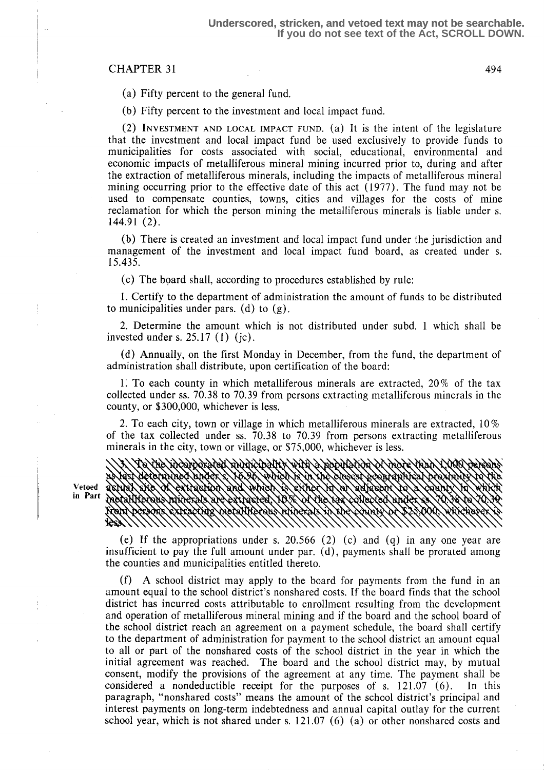(a) Fifty percent to the general fund.

(b) Fifty percent to the investment and local impact fund.

(2) INVESTMENT AND LOCAL IMPACT FUND. (a) It is the intent of the legislature that the investment and local impact fund be used exclusively to provide funds to municipalities for costs associated with social, educational, environmental and economic impacts of metalliferous mineral mining incurred prior to, during and after the extraction of metalliferous minerals, including the impacts of metalliferous mineral mining occurring prior to the effective date of this act (1977) . The fund may not be used to compensate counties, towns, cities and villages for the costs of mine reclamation for which the person mining the metalliferous minerals is liable under s. 144.91 (2) .

(b) There is created an investment and local impact fund under the jurisdiction and management of the investment and local impact fund board, as created under s. 15 .435 .

(c) The board shall, according to procedures established by rule:

<sup>1</sup> . Certify to the department of administration the amount of funds to be distributed to municipalities under pars. (d) to  $(g)$ .

2. Determine the amount which is not distributed under subd. 1 which shall be invested under s.  $25.17(1)(c)$ .

(d) Annually, on the first Monday in December, from the fund, the department of administration shall distribute, upon certification of the board:

1. To each county in which metalliferous minerals are extracted,  $20\%$  of the tax collected under ss. 70.38 to 70.39 from persons extracting metalliferous minerals in the county, or \$300,000, whichever is less.

2. To each city, town or village in which metalliferous minerals are extracted,  $10\%$ of the tax collected under ss . 70.38 to 70.39 from persons extracting metalliferous minerals in the city, town or village, or \$75,000, whichever is less.

goyyoxyusy ANARISIDANA

(e) If the appropriations under s. 20.566 (2) (c) and (q) in any one year are insufficient to pay the full amount under par.  $(d)$ , payments shall be prorated among the counties and municipalities entitled thereto.

(f) A school district may apply to the board for payments from the fund in an amount equal to the school district's nonshared costs. If the board finds that the school district has incurred costs attributable to enrollment resulting from the development and operation of metalliferous mineral mining and if the board and the school board of the school district reach an agreement on a payment schedule, the board shall certify to the department of administration for payment to the school district an amount equal to all or part of the nonshared costs of the school district in the year in which the initial agreement was reached. The board and the school district may, by mutual consent, modify the provisions of the agreement at any time. The payment shall be considered a nondeductible receipt for the purposes of  $s$ , 121.07 (6). In this considered a nondeductible receipt for the purposes of s.  $121.07$  (6). paragraph, "nonshared costs" means the amount of the school district's principal and interest payments on long-term indebtedness and annual capital outlay for the current school year, which is not shared under s.  $121.07(6)$  (a) or other nonshared costs and

Vetoed in Part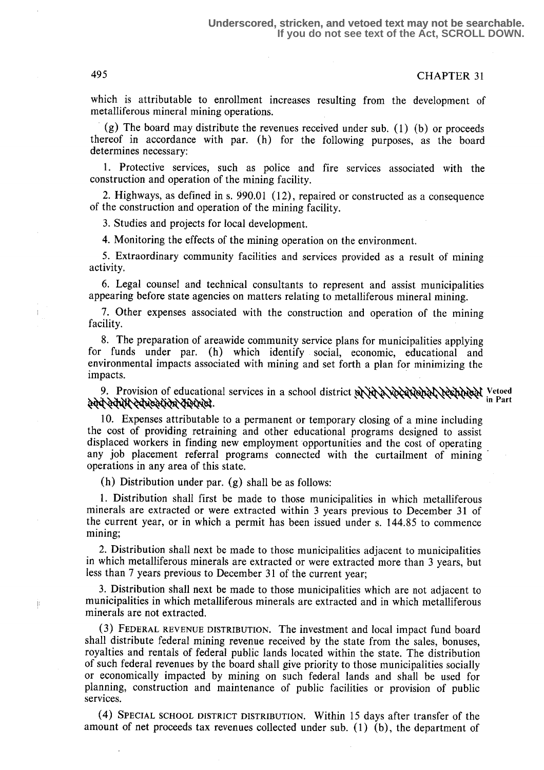which is attributable to enrollment increases resulting from the development of metalliferous mineral mining operations.

(g) The board may distribute the revenues received under sub. (1) (b) or proceeds thereof in accordance with par. (h) for the following purposes, as the board determines necessary:

<sup>1</sup> . Protective services, such as police and fire services associated with the construction and operation of the mining facility.

2. Highways, as defined in s. 990.01 (12), repaired or constructed as a consequence of the construction and operation of the mining facility .

3. Studies and projects for local development.

4. Monitoring the effects of the mining operation on the environment.

5. Extraordinary community facilities and services provided as a result of mining activity.

6. Legal counsel and technical consultants to represent and assist municipalities appearing before state agencies on matters relating to metalliferous mineral mining.

7. Other expenses associated with the construction and operation of the mining facility.

8. The preparation of areawide community service plans for municipalities applying for funds under par. (h) which identify social, economic, educational and environmental impacts associated with mining and set forth a plan for minimizing the impacts.

9. Provision of educational services in a school district  $\frac{1}{2}$  Ware Englished Vestion Is versed in Part 2004

10. Expenses attributable to a permanent or temporary closing of a mine including the cost of providing retraining and other educational programs designed to assist displaced workers in finding new employment opportunities and the cost of operating any job placement referral programs connected with the curtailment of mining operations in any area of this state.

(h) Distribution under par.  $(g)$  shall be as follows:

<sup>1</sup> . Distribution shall first be made to those municipalities in which metalliferous minerals are extracted or were extracted within 3 years previous to December 31 of the current year, or in which a permit has been issued under s. 144.85 to commence mining;

2. Distribution shall next be made to those municipalities adjacent to municipalities in which metalliferous minerals are extracted or were extracted more than 3 years, but less than 7 years previous to December 31 of the current year;

3. Distribution shall next be made to those municipalities which are not adjacent to municipalities in which metalliferous minerals are extracted and in which metalliferous minerals are not extracted.

(3) FEDERAL REVENUE DISTRIBUTION . The investment and local impact fund board shall distribute federal mining revenue received by the state from the sales, bonuses, royalties and rentals of federal public lands located within the state. The distribution of such federal revenues by the board shall give priority to those municipalities socially or economically impacted by mining on such federal lands and shall be used for planning, construction and maintenance of public facilities or provision of public services.

SPECIAL SCHOOL DISTRICT DISTRIBUTION . Within 15 days after transfer of the amount of net proceeds tax revenues collected under sub. (1) (b), the department of

j.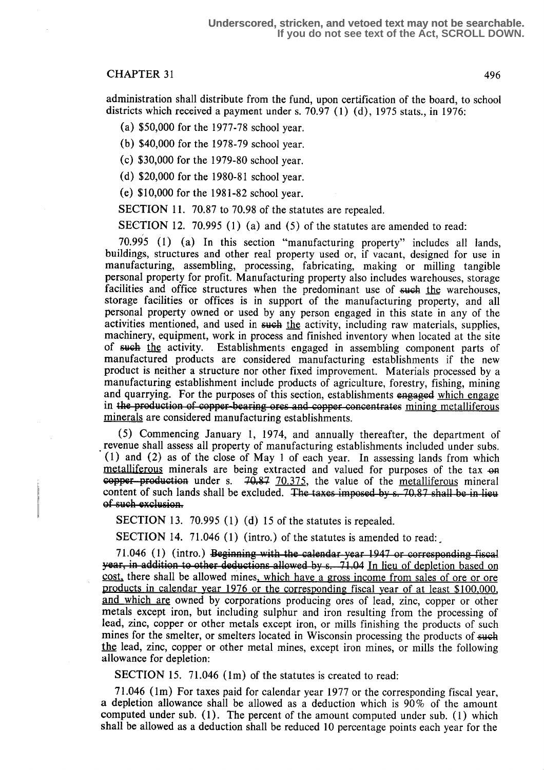administration shall distribute from the fund, upon certification of the board, to school districts which received a payment under s. 70.97 (1) (d), 1975 stats., in 1976:

- (a) \$50,000 for the 1977-78 school year.
- (b) \$40,000 for the 1978-79 school year.
- (c) \$30,000 for the 1979-80 school year.
- (d) \$20,000 for the 1980-81 school year.
- (e) \$10,000 for the 1981-82 school year.

SECTION 11. 70.87 to 70.98 of the statutes are repealed.

SECTION 12. 70.995 (1) (a) and (5) of the statutes are amended to read:

70.995 (1) (a) In this section "manufacturing property" includes all lands, buildings, structures and other real property used or, if vacant, designed for use in manufacturing, assembling, processing, fabricating, making or milling tangible personal property for profit. Manufacturing property also includes warehouses, storage facilities and office structures when the predominant use of such the warehouses, storage facilities or offices is in support of the manufacturing property, and all personal property owned or used by any person engaged in this state in any of the activities mentioned, and used in such the activity, including raw materials, supplies, machinery, equipment, work in process and finished inventory when located at the site of such the activity. Establishments engaged in assembling component parts of manufactured products are considered manufacturing establishments if the new product is neither a structure nor other fixed improvement. Materials processed by a manufacturing establishment include products of agriculture, forestry, fishing, mining and quarrying. For the purposes of this section, establishments engaged which engage in the production of copper-bearing ores and copper concentrates mining metalliferous<br>minerals are considered manufacturing establishments m the production of copper counting eres and copper con-

(5) Commencing January l, 1974, and annually thereafter, the department of revenue shall assess all property of manufacturing establishments included under subs . (1) and (2) as of the close of May 1 of each year. In assessing lands from which metalliferous minerals are being extracted and valued for purposes of the tax on copper-production under s.  $70.87$   $70.375$ , the value of the <u>metalliferous</u> mineral content of such lands shall be excluded. The taxes imposed by s. 70.87 shall be in lieu

SECTION 13. 70.995 (1) (d) 15 of the statutes is repealed.

SECTION 14. 71.046 (1) (intro.) of the statutes is amended to read:

71.046 (1) (intro.) Beginning with the calendar year 1947 or corresponding fiscal year, in addition to other deductions allowed by s. 71.04 In lieu of depletion based on cost, there shall be allowed mines, which have a gross income from sales of ore or ore products in calendar year 1976 or the corresponding fiscal year of at least \$100.000, and which are owned by corporations producing ores of lead, zinc, copper or other metals except iron, but including sulphur and iron resulting from the processing of lead, zinc, copper or other metals except iron, or mills finishing the products of such mines for the smelter, or smelters located in Wisconsin processing the products of such the lead, zinc, copper or other metal mines, except iron mines, or mills the following allowance for depletion:

SECTION 15. 71.046 (1m) of the statutes is created to read:

71 .046 (lm) For taxes paid for calendar year 1977 or the corresponding fiscal year, a depletion allowance shall be allowed as a deduction which is 90% of the amount computed under sub. (1). The percent of the amount computed under sub. (1) which shall be allowed as a deduction shall be reduced 10 percentage points each year for the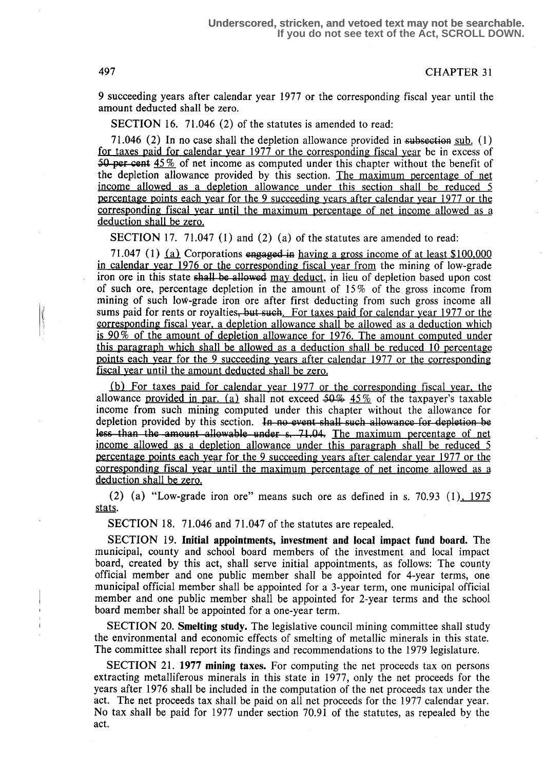9 succeeding years after calendar year 1977 or the corresponding fiscal year until the amount deducted shall be zero.

SECTION 16. 71.046 (2) of the statutes is amended to read:

71.046 (2) In no case shall the depletion allowance provided in subsection sub.  $(1)$ for taxes raid for calendar year 1977 or the corresponding fiscal year be in excess of 50 per cent  $45\%$  of net income as computed under this chapter without the benefit of the depletion allowance provided by this section. The maximum percentage of net income allowed as a depletion allowance under this section shall be reduced 5 percentage points each year for the 9 succeeding years after calendar year 1977 or the corresponding fiscal year until the maximum percentage of net income allowed as a deduction shall be zero.

SECTION 17. 71.047 (1) and (2) (a) of the statutes are amended to read:

71.047 (1)  $(a)$  Corporations engaged in having a gross income of at least \$100,000 in calendar year 1976 or the corresponding fiscal year from the mining of low-grade iron ore in this state shall be allowed may deduct, in lieu of depletion based upon cost of such ore, percentage depletion in the amount of 15 % of the gross income from mining of such loW-grade iron ore after first deducting from such gross income all sums paid for rents or royalties, but such. For taxes paid for calendar year 1977 or the corresponding fiscal year, a depletion allowance shall be allowed as a deduction which is 90% of the amount of depletion allowance for 1976. The amount commuted under this paragraph which shall be allowed as a deduction shall be reduced 10 percentage points each year for the 9 succeeding years after calendar 1977 or the corresponding fiscal year until the amount deducted shall be zero.

 $(b)$  For taxes paid for calendar year 1977 or the corresponding fiscal year, the allowance provided in par. (a) shall not exceed  $50\%$  45% of the taxpayer's taxable income from such mining computed under this chapter without the allowance for depletion provided by this section. In no event shall such allowance for depletion be<br>less than the amount allowable under s. 71.04. The maximum percentage of net depletion provided by this section. In no event shall such allowance for depletion be<br>less than the amount allowable under s. 71.04. The maximum percentage of net<br>income allowed as a depletion allowance under this paragrap percentage points each year for the 9 succeeding years after calendar year 1977 or the corresponding fiscal year until the maximum percentage of net income allowed as a deduction shall be zero.

(2) (a) "Low-grade iron ore" means such ore as defined in s. 70.93 (1),  $1975$ stats.

SECTION 18. 71.046 and 71.047 of the statutes are repealed.

SECTION 19. Initial appointments, investment and local impact fund board. The municipal, county and school board members of the investment and local impact board, created by this act, shall serve initial appointments, as follows: The county official member and one public member shall be appointed for 4-year terms, one municipal official member shall be appointed for a 3-year term, one municipal official member and one public member shall be appointed for 2-year terms and the school board member shall be appointed for a one-year term.

SECTION 20. Smelting study. The legislative council mining committee shall study the environmental and economic effects of smelting of metallic minerals in this state. The committee shall report its findings and recommendations to the 1979 legislature.

SECTION 21. 1977 mining taxes. For computing the net proceeds tax on persons extracting metalliferous minerals in this state in 1977, only the net proceeds for the years after 1976 shall be included in the computation of the net proceeds tax under the act. The net proceeds tax shall be paid on all net proceeds for the 1977 calendar year. No tax shall be paid for 1977 under section 70.91 of the statutes, as repealed by the act.

K